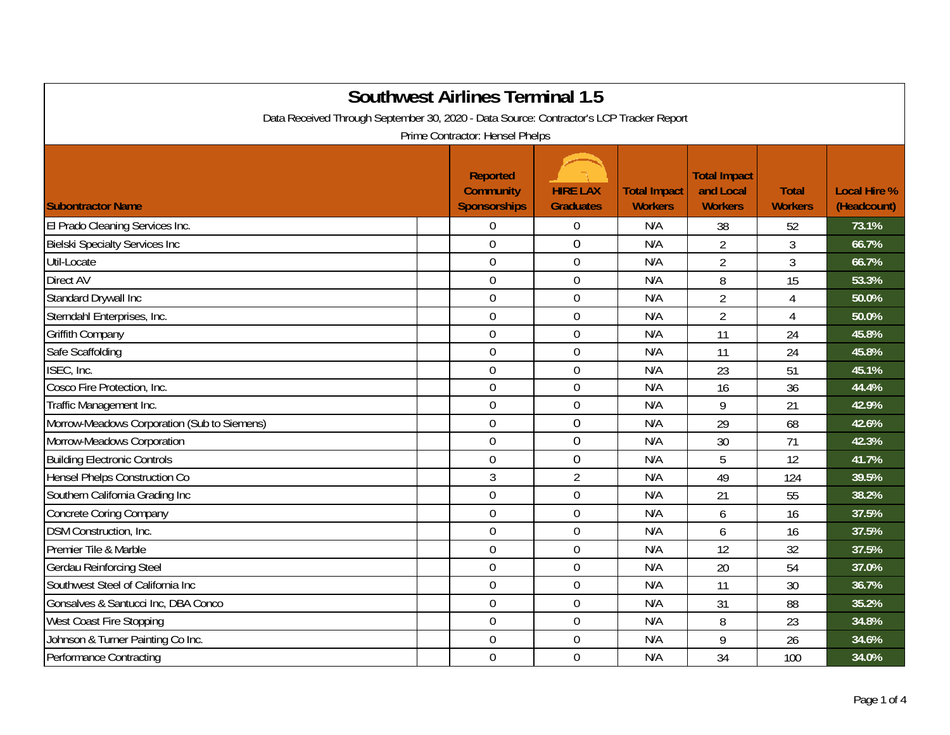| <b>Southwest Airlines Terminal 1.5</b><br>Data Received Through September 30, 2020 - Data Source: Contractor's LCP Tracker Report<br>Prime Contractor: Hensel Phelps |                                                            |                                     |                                       |                                                    |                                |                                    |  |
|----------------------------------------------------------------------------------------------------------------------------------------------------------------------|------------------------------------------------------------|-------------------------------------|---------------------------------------|----------------------------------------------------|--------------------------------|------------------------------------|--|
| <b>Subontractor Name</b>                                                                                                                                             | <b>Reported</b><br><b>Community</b><br><b>Sponsorships</b> | <b>HIRE LAX</b><br><b>Graduates</b> | <b>Total Impact</b><br><b>Workers</b> | <b>Total Impact</b><br>and Local<br><b>Workers</b> | <b>Total</b><br><b>Workers</b> | <b>Local Hire %</b><br>(Headcount) |  |
| El Prado Cleaning Services Inc.                                                                                                                                      | $\overline{0}$                                             | $\boldsymbol{0}$                    | N/A                                   | 38                                                 | 52                             | 73.1%                              |  |
| <b>Bielski Specialty Services Inc</b>                                                                                                                                | $\overline{0}$                                             | $\overline{0}$                      | N/A                                   | $\overline{2}$                                     | $\overline{3}$                 | 66.7%                              |  |
| Util-Locate                                                                                                                                                          | $\mathbf 0$                                                | $\mathbf 0$                         | N/A                                   | $\overline{2}$                                     | 3                              | 66.7%                              |  |
| <b>Direct AV</b>                                                                                                                                                     | $\overline{0}$                                             | $\mathbf 0$                         | N/A                                   | 8                                                  | 15                             | 53.3%                              |  |
| Standard Drywall Inc                                                                                                                                                 | $\mathbf 0$                                                | $\boldsymbol{0}$                    | N/A                                   | $\overline{2}$                                     | $\overline{4}$                 | 50.0%                              |  |
| Sterndahl Enterprises, Inc.                                                                                                                                          | $\mathbf 0$                                                | $\mathbf 0$                         | N/A                                   | $\overline{2}$                                     | 4                              | 50.0%                              |  |
| Griffith Company                                                                                                                                                     | $\boldsymbol{0}$                                           | $\boldsymbol{0}$                    | N/A                                   | 11                                                 | 24                             | 45.8%                              |  |
| Safe Scaffolding                                                                                                                                                     | $\mathbf 0$                                                | $\boldsymbol{0}$                    | N/A                                   | 11                                                 | 24                             | 45.8%                              |  |
| ISEC, Inc.                                                                                                                                                           | $\overline{0}$                                             | $\mathbf 0$                         | N/A                                   | 23                                                 | 51                             | 45.1%                              |  |
| Cosco Fire Protection, Inc.                                                                                                                                          | $\overline{0}$                                             | $\boldsymbol{0}$                    | N/A                                   | 16                                                 | 36                             | 44.4%                              |  |
| Traffic Management Inc.                                                                                                                                              | $\mathbf 0$                                                | $\boldsymbol{0}$                    | N/A                                   | 9                                                  | 21                             | 42.9%                              |  |
| Morrow-Meadows Corporation (Sub to Siemens)                                                                                                                          | $\overline{0}$                                             | $\mathbf 0$                         | N/A                                   | 29                                                 | 68                             | 42.6%                              |  |
| Morrow-Meadows Corporation                                                                                                                                           | $\mathbf 0$                                                | $\mathbf 0$                         | N/A                                   | 30                                                 | 71                             | 42.3%                              |  |
| <b>Building Electronic Controls</b>                                                                                                                                  | $\mathbf 0$                                                | $\boldsymbol{0}$                    | N/A                                   | 5                                                  | 12                             | 41.7%                              |  |
| <b>Hensel Phelps Construction Co</b>                                                                                                                                 | $\mathfrak{Z}$                                             | $\overline{2}$                      | N/A                                   | 49                                                 | 124                            | 39.5%                              |  |
| Southern California Grading Inc                                                                                                                                      | $\mathbf 0$                                                | $\mathbf 0$                         | N/A                                   | 21                                                 | 55                             | 38.2%                              |  |
| <b>Concrete Coring Company</b>                                                                                                                                       | $\overline{0}$                                             | $\mathbf 0$                         | N/A                                   | 6                                                  | 16                             | 37.5%                              |  |
| DSM Construction, Inc.                                                                                                                                               | $\mathbf 0$                                                | $\boldsymbol{0}$                    | N/A                                   | 6                                                  | 16                             | 37.5%                              |  |
| Premier Tile & Marble                                                                                                                                                | $\overline{0}$                                             | $\mathbf 0$                         | N/A                                   | 12                                                 | 32                             | 37.5%                              |  |
| <b>Gerdau Reinforcing Steel</b>                                                                                                                                      | $\mathbf 0$                                                | $\mathbf 0$                         | N/A                                   | 20                                                 | 54                             | 37.0%                              |  |
| Southwest Steel of California Inc                                                                                                                                    | $\mathbf 0$                                                | $\boldsymbol{0}$                    | N/A                                   | 11                                                 | 30                             | 36.7%                              |  |
| Gonsalves & Santucci Inc, DBA Conco                                                                                                                                  | $\overline{0}$                                             | $\boldsymbol{0}$                    | N/A                                   | 31                                                 | 88                             | 35.2%                              |  |
| West Coast Fire Stopping                                                                                                                                             | $\mathbf 0$                                                | $\mathbf 0$                         | N/A                                   | 8                                                  | 23                             | 34.8%                              |  |
| Johnson & Turner Painting Co Inc.                                                                                                                                    | $\overline{0}$                                             | $\mathbf 0$                         | N/A                                   | 9                                                  | 26                             | 34.6%                              |  |
| Performance Contracting                                                                                                                                              | $\mathbf 0$                                                | $\mathbf 0$                         | N/A                                   | 34                                                 | 100                            | 34.0%                              |  |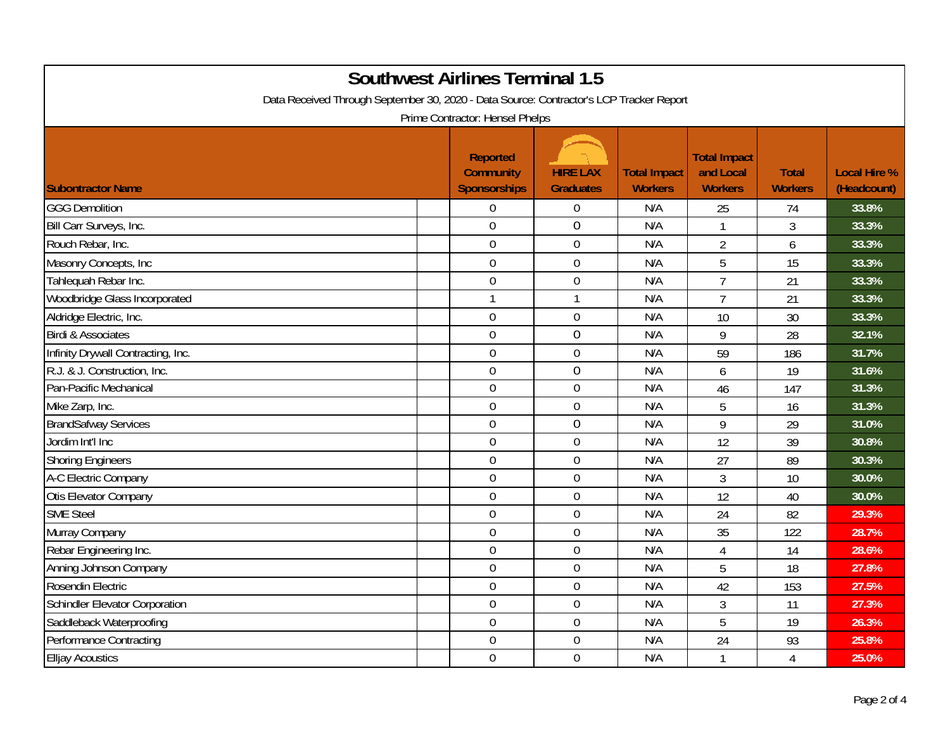| <b>Southwest Airlines Terminal 1.5</b><br>Data Received Through September 30, 2020 - Data Source: Contractor's LCP Tracker Report<br>Prime Contractor: Hensel Phelps |                                                     |                                     |                                       |                                                    |                                |                                    |  |
|----------------------------------------------------------------------------------------------------------------------------------------------------------------------|-----------------------------------------------------|-------------------------------------|---------------------------------------|----------------------------------------------------|--------------------------------|------------------------------------|--|
| <b>Subontractor Name</b>                                                                                                                                             | <b>Reported</b><br><b>Community</b><br>Sponsorships | <b>HIRE LAX</b><br><b>Graduates</b> | <b>Total Impact</b><br><b>Workers</b> | <b>Total Impact</b><br>and Local<br><b>Workers</b> | <b>Total</b><br><b>Workers</b> | <b>Local Hire %</b><br>(Headcount) |  |
| <b>GGG Demolition</b>                                                                                                                                                | $\overline{0}$                                      | $\mathbf 0$                         | N/A                                   | 25                                                 | 74                             | 33.8%                              |  |
| Bill Carr Surveys, Inc.                                                                                                                                              | $\overline{0}$                                      | $\mathbf 0$                         | N/A                                   | 1                                                  | 3                              | 33.3%                              |  |
| Rouch Rebar, Inc.                                                                                                                                                    | $\mathbf 0$                                         | $\boldsymbol{0}$                    | N/A                                   | $\overline{2}$                                     | 6                              | 33.3%                              |  |
| Masonry Concepts, Inc                                                                                                                                                | $\mathbf 0$                                         | $\mathbf 0$                         | N/A                                   | 5                                                  | 15                             | 33.3%                              |  |
| Tahlequah Rebar Inc.                                                                                                                                                 | $\overline{0}$                                      | $\mathbf 0$                         | N/A                                   | $\overline{7}$                                     | 21                             | 33.3%                              |  |
| Woodbridge Glass Incorporated                                                                                                                                        |                                                     | $\mathbf{1}$                        | N/A                                   | $\overline{7}$                                     | 21                             | 33.3%                              |  |
| Aldridge Electric, Inc.                                                                                                                                              | $\mathbf 0$                                         | $\boldsymbol{0}$                    | N/A                                   | 10                                                 | 30                             | 33.3%                              |  |
| <b>Birdi &amp; Associates</b>                                                                                                                                        | $\overline{0}$                                      | $\overline{0}$                      | N/A                                   | 9                                                  | 28                             | 32.1%                              |  |
| Infinity Drywall Contracting, Inc.                                                                                                                                   | $\overline{0}$                                      | $\mathbf 0$                         | N/A                                   | 59                                                 | 186                            | 31.7%                              |  |
| R.J. & J. Construction, Inc.                                                                                                                                         | $\mathbf 0$                                         | $\boldsymbol{0}$                    | N/A                                   | 6                                                  | 19                             | 31.6%                              |  |
| Pan-Pacific Mechanical                                                                                                                                               | $\mathbf 0$                                         | $\boldsymbol{0}$                    | N/A                                   | 46                                                 | 147                            | 31.3%                              |  |
| Mike Zarp, Inc.                                                                                                                                                      | $\mathbf 0$                                         | $\boldsymbol{0}$                    | N/A                                   | 5                                                  | 16                             | 31.3%                              |  |
| <b>BrandSafway Services</b>                                                                                                                                          | $\mathbf 0$                                         | $\boldsymbol{0}$                    | N/A                                   | 9                                                  | 29                             | 31.0%                              |  |
| Jordim Int'l Inc                                                                                                                                                     | $\overline{0}$                                      | $\overline{0}$                      | N/A                                   | 12                                                 | 39                             | 30.8%                              |  |
| <b>Shoring Engineers</b>                                                                                                                                             | $\overline{0}$                                      | $\mathbf 0$                         | N/A                                   | 27                                                 | 89                             | 30.3%                              |  |
| A-C Electric Company                                                                                                                                                 | $\mathbf 0$                                         | $\boldsymbol{0}$                    | N/A                                   | 3                                                  | 10                             | 30.0%                              |  |
| Otis Elevator Company                                                                                                                                                | $\mathbf 0$                                         | $\boldsymbol{0}$                    | N/A                                   | 12                                                 | 40                             | 30.0%                              |  |
| <b>SME Steel</b>                                                                                                                                                     | $\mathbf 0$                                         | $\mathbf 0$                         | N/A                                   | 24                                                 | 82                             | 29.3%                              |  |
| Murray Company                                                                                                                                                       | $\overline{0}$                                      | $\overline{0}$                      | N/A                                   | 35                                                 | 122                            | 28.7%                              |  |
| Rebar Engineering Inc.                                                                                                                                               | $\mathbf 0$                                         | $\boldsymbol{0}$                    | N/A                                   | 4                                                  | 14                             | 28.6%                              |  |
| Anning Johnson Company                                                                                                                                               | $\boldsymbol{0}$                                    | $\boldsymbol{0}$                    | N/A                                   | 5                                                  | 18                             | 27.8%                              |  |
| Rosendin Electric                                                                                                                                                    | $\mathbf 0$                                         | $\boldsymbol{0}$                    | N/A                                   | 42                                                 | 153                            | 27.5%                              |  |
| <b>Schindler Elevator Corporation</b>                                                                                                                                | $\mathbf 0$                                         | $\boldsymbol{0}$                    | N/A                                   | $\overline{3}$                                     | 11                             | 27.3%                              |  |
| Saddleback Waterproofing                                                                                                                                             | $\mathbf 0$                                         | $\mathbf 0$                         | N/A                                   | 5                                                  | 19                             | 26.3%                              |  |
| <b>Performance Contracting</b>                                                                                                                                       | $\mathbf 0$                                         | $\boldsymbol{0}$                    | N/A                                   | 24                                                 | 93                             | 25.8%                              |  |
| <b>Elljay Acoustics</b>                                                                                                                                              | $\mathbf 0$                                         | $\mathbf 0$                         | N/A                                   | $\mathbf{1}$                                       | 4                              | 25.0%                              |  |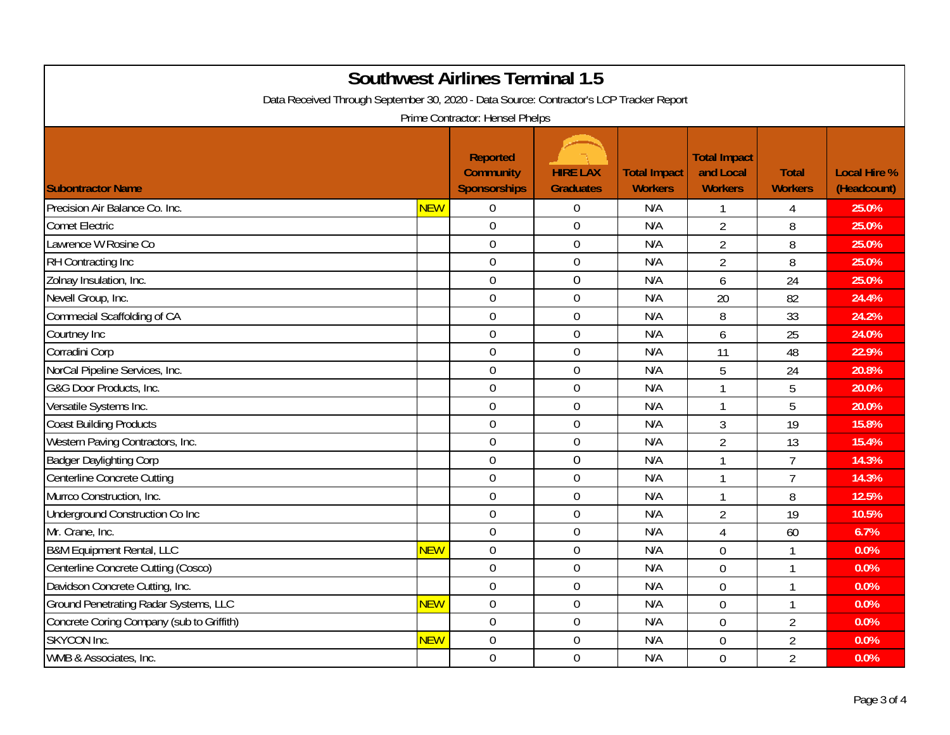| <b>Southwest Airlines Terminal 1.5</b><br>Data Received Through September 30, 2020 - Data Source: Contractor's LCP Tracker Report<br>Prime Contractor: Hensel Phelps |            |                                                            |                                     |                                       |                                                    |                                |                                    |
|----------------------------------------------------------------------------------------------------------------------------------------------------------------------|------------|------------------------------------------------------------|-------------------------------------|---------------------------------------|----------------------------------------------------|--------------------------------|------------------------------------|
| <b>Subontractor Name</b>                                                                                                                                             |            | <b>Reported</b><br><b>Community</b><br><b>Sponsorships</b> | <b>HIRE LAX</b><br><b>Graduates</b> | <b>Total Impact</b><br><b>Workers</b> | <b>Total Impact</b><br>and Local<br><b>Workers</b> | <b>Total</b><br><b>Workers</b> | <b>Local Hire %</b><br>(Headcount) |
| Precision Air Balance Co. Inc.                                                                                                                                       | <b>NEW</b> | $\mathbf 0$                                                | $\overline{0}$                      | N/A                                   | 1                                                  | 4                              | 25.0%                              |
| <b>Comet Electric</b>                                                                                                                                                |            | $\mathbf 0$                                                | $\boldsymbol{0}$                    | N/A                                   | $\overline{2}$                                     | 8                              | 25.0%                              |
| Lawrence W Rosine Co                                                                                                                                                 |            | $\overline{0}$                                             | $\boldsymbol{0}$                    | N/A                                   | $\overline{2}$                                     | 8                              | 25.0%                              |
| <b>RH Contracting Inc</b>                                                                                                                                            |            | $\overline{0}$                                             | $\mathbf 0$                         | N/A                                   | $\overline{2}$                                     | 8                              | 25.0%                              |
| Zolnay Insulation, Inc.                                                                                                                                              |            | $\mathbf 0$                                                | $\mathbf 0$                         | N/A                                   | 6                                                  | 24                             | 25.0%                              |
| Nevell Group, Inc.                                                                                                                                                   |            | $\overline{0}$                                             | $\boldsymbol{0}$                    | N/A                                   | 20                                                 | 82                             | 24.4%                              |
| Commecial Scaffolding of CA                                                                                                                                          |            | $\overline{0}$                                             | $\mathbf 0$                         | N/A                                   | 8                                                  | 33                             | 24.2%                              |
| Courtney Inc                                                                                                                                                         |            | $\mathbf 0$                                                | $\mathbf 0$                         | N/A                                   | 6                                                  | 25                             | 24.0%                              |
| Corradini Corp                                                                                                                                                       |            | $\overline{0}$                                             | $\overline{0}$                      | N/A                                   | 11                                                 | 48                             | 22.9%                              |
| NorCal Pipeline Services, Inc.                                                                                                                                       |            | $\overline{0}$                                             | $\mathbf 0$                         | N/A                                   | 5                                                  | 24                             | 20.8%                              |
| G&G Door Products, Inc.                                                                                                                                              |            | $\mathbf 0$                                                | $\boldsymbol{0}$                    | N/A                                   | $\mathbf{1}$                                       | 5                              | 20.0%                              |
| Versatile Systems Inc.                                                                                                                                               |            | $\mathbf 0$                                                | $\boldsymbol{0}$                    | N/A                                   | $\mathbf{1}$                                       | 5                              | 20.0%                              |
| <b>Coast Building Products</b>                                                                                                                                       |            | $\overline{0}$                                             | $\mathbf 0$                         | N/A                                   | 3                                                  | 19                             | 15.8%                              |
| Western Paving Contractors, Inc.                                                                                                                                     |            | $\overline{0}$                                             | $\mathbf 0$                         | N/A                                   | $\overline{2}$                                     | 13                             | 15.4%                              |
| <b>Badger Daylighting Corp</b>                                                                                                                                       |            | $\mathbf 0$                                                | $\mathbf 0$                         | N/A                                   | $\mathbf{1}$                                       | $\overline{7}$                 | 14.3%                              |
| Centerline Concrete Cutting                                                                                                                                          |            | $\mathbf 0$                                                | $\overline{0}$                      | N/A                                   | $\mathbf{1}$                                       | $\overline{7}$                 | 14.3%                              |
| Murrco Construction, Inc.                                                                                                                                            |            | $\overline{0}$                                             | $\overline{0}$                      | N/A                                   | 1                                                  | 8                              | 12.5%                              |
| Underground Construction Co Inc                                                                                                                                      |            | $\mathbf 0$                                                | $\mathbf 0$                         | N/A                                   | $\overline{2}$                                     | 19                             | 10.5%                              |
| Mr. Crane, Inc.                                                                                                                                                      |            | $\overline{0}$                                             | $\mathbf 0$                         | N/A                                   | 4                                                  | 60                             | 6.7%                               |
| <b>B&amp;M Equipment Rental, LLC</b>                                                                                                                                 | <b>NEW</b> | $\mathbf 0$                                                | $\mathbf 0$                         | N/A                                   | $\overline{0}$                                     | 1                              | 0.0%                               |
| Centerline Concrete Cutting (Cosco)                                                                                                                                  |            | $\mathbf 0$                                                | $\boldsymbol{0}$                    | N/A                                   | $\overline{0}$                                     | $\mathbf{1}$                   | 0.0%                               |
| Davidson Concrete Cutting, Inc.                                                                                                                                      |            | $\overline{0}$                                             | $\mathbf 0$                         | N/A                                   | $\overline{0}$                                     | $\mathbf{1}$                   | 0.0%                               |
| <b>Ground Penetrating Radar Systems, LLC</b>                                                                                                                         | <b>NEW</b> | $\mathbf 0$                                                | $\overline{0}$                      | N/A                                   | $\overline{0}$                                     | $\mathbf{1}$                   | 0.0%                               |
| Concrete Coring Company (sub to Griffith)                                                                                                                            |            | $\overline{0}$                                             | $\mathbf 0$                         | N/A                                   | $\overline{0}$                                     | $\overline{2}$                 | 0.0%                               |
| <b>SKYCON Inc.</b>                                                                                                                                                   | <b>NEW</b> | $\overline{0}$                                             | $\mathbf 0$                         | N/A                                   | $\overline{0}$                                     | $\overline{2}$                 | 0.0%                               |
| WMB & Associates, Inc.                                                                                                                                               |            | $\overline{0}$                                             | $\mathbf 0$                         | N/A                                   | $\overline{0}$                                     | $\overline{2}$                 | 0.0%                               |